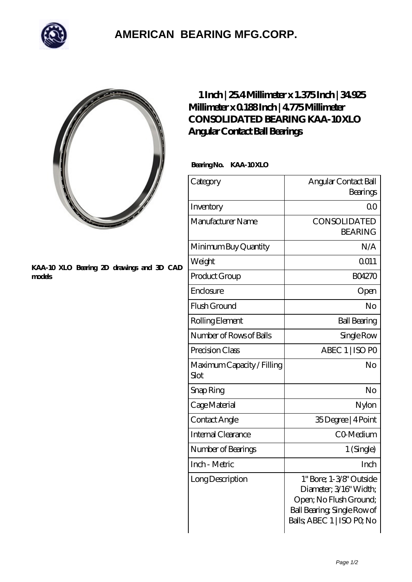

## **[AMERICAN BEARING MFG.CORP.](https://m.geragogik.net)**

## **[KAA-10 XLO Bearing 2D drawings and 3D CAD](https://m.geragogik.net/pic-181371.html) [models](https://m.geragogik.net/pic-181371.html)**

## **[1 Inch | 25.4 Millimeter x 1.375 Inch | 34.925](https://m.geragogik.net/au-181371-consolidated-bearing-kaa-10-xlo-angular-contact-ball-bearings.html) [Millimeter x 0.188 Inch | 4.775 Millimeter](https://m.geragogik.net/au-181371-consolidated-bearing-kaa-10-xlo-angular-contact-ball-bearings.html) CONSOLIDATED BEARING KAA-10XLO [Angular Contact Ball Bearings](https://m.geragogik.net/au-181371-consolidated-bearing-kaa-10-xlo-angular-contact-ball-bearings.html)**

Bearing No. KAA-10XLO

| Category                           | Angular Contact Ball<br>Bearings                                                                                                         |  |
|------------------------------------|------------------------------------------------------------------------------------------------------------------------------------------|--|
| Inventory                          | 0 <sup>0</sup>                                                                                                                           |  |
| Manufacturer Name                  | CONSOLIDATED<br><b>BEARING</b>                                                                                                           |  |
| Minimum Buy Quantity               | N/A                                                                                                                                      |  |
| Weight                             | 0011                                                                                                                                     |  |
| Product Group                      | <b>BO4270</b>                                                                                                                            |  |
| Enclosure                          | Open                                                                                                                                     |  |
| Flush Ground                       | No                                                                                                                                       |  |
| Rolling Element                    | <b>Ball Bearing</b>                                                                                                                      |  |
| Number of Rows of Balls            | Single Row                                                                                                                               |  |
| Precision Class                    | ABEC 1   ISO PO                                                                                                                          |  |
| Maximum Capacity / Filling<br>Slot | No                                                                                                                                       |  |
| Snap Ring                          | No                                                                                                                                       |  |
| Cage Material                      | Nylon                                                                                                                                    |  |
| Contact Angle                      | 35Degree   4Point                                                                                                                        |  |
| <b>Internal Clearance</b>          | CO-Medium                                                                                                                                |  |
| Number of Bearings                 | 1 (Single)                                                                                                                               |  |
| Inch - Metric                      | Inch                                                                                                                                     |  |
| Long Description                   | 1" Bore; 1-3/8" Outside<br>Diameter, 3/16" Width;<br>Open; No Flush Ground;<br>Ball Bearing, Single Row of<br>Balls, ABEC 1   ISO PO, No |  |